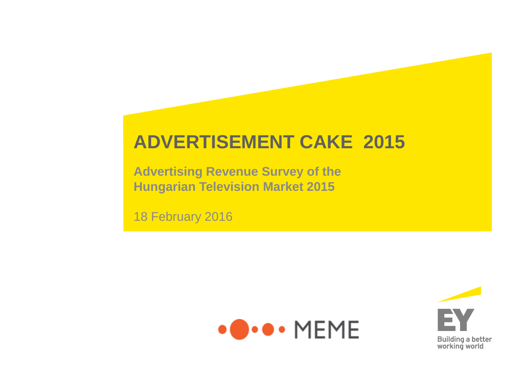## **ADVERTISEMENT CAKE 2015**

**Advertising Revenue Survey of the Hungarian Television Market 2015**

18 February 2016



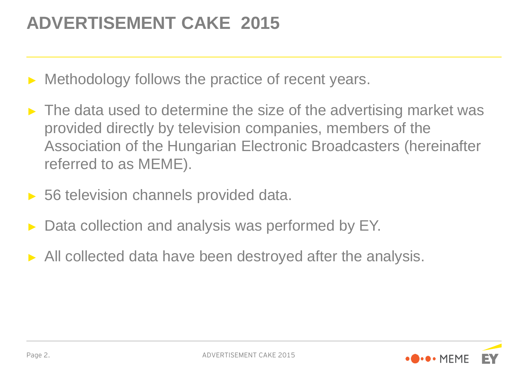## **ADVERTISEMENT CAKE 2015**

- Methodology follows the practice of recent years.
- $\triangleright$  The data used to determine the size of the advertising market was provided directly by television companies, members of the Association of the Hungarian Electronic Broadcasters (hereinafter referred to as MEME).
- ► 56 television channels provided data.
- Data collection and analysis was performed by EY.
- ► All collected data have been destroyed after the analysis.

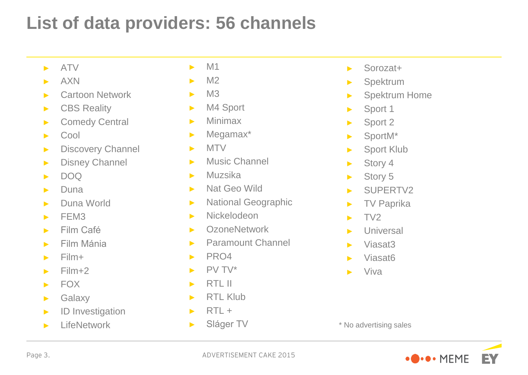## **List of data providers: 56 channels**

- ► ATV
- ► AXN
- ► Cartoon Network
- ► CBS Reality
- ► Comedy Central
- ► Cool
- ► Discovery Channel
- ► Disney Channel
- $\blacksquare$  DOQ
- $\blacktriangleright$  Duna
- ► Duna World
- $\blacktriangleright$  FEM3
- ► Film Café
- ► Film Mánia
- ► Film+
- $\blacktriangleright$  Film+2
- ► FOX
- ► Galaxy
- ► ID Investigation
- ► LifeNetwork
- $\blacktriangleright$  M1
- $\blacktriangleright$  M2
- $\blacktriangleright$  M3
- ► M4 Sport
- ► Minimax
- ► Megamax\*
- ► MTV
- ► Music Channel
- ► Muzsika
- ► Nat Geo Wild
- ► National Geographic
- ► Nickelodeon
- ► OzoneNetwork
- ► Paramount Channel
- ► PRO4
- $\blacktriangleright$  PV TV\*
- ► RTL II
- ► RTL Klub
- $\blacktriangleright$  RTL +
- ► Sláger TV
- ► Sorozat+
- ► Spektrum
- ► Spektrum Home
- ► Sport 1
- ► Sport 2
- ► SportM\*
- ► Sport Klub
- ► Story 4
- ► Story 5
- ► SUPERTV2
- ► TV Paprika
- $\blacktriangleright$  TV2
- ► Universal
- ► Viasat3
- ► Viasat6
- ► Viva



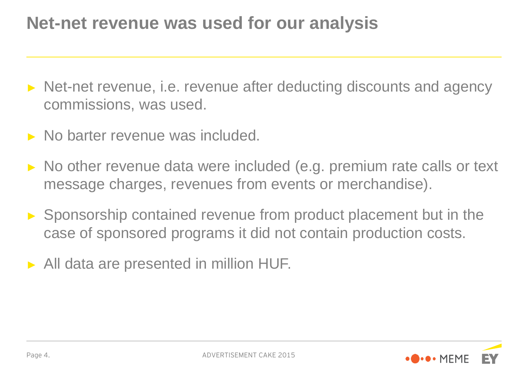## **Net-net revenue was used for our analysis**

- ► Net-net revenue, i.e. revenue after deducting discounts and agency commissions, was used.
- ► No barter revenue was included.
- ► No other revenue data were included (e.g. premium rate calls or text message charges, revenues from events or merchandise).
- ► Sponsorship contained revenue from product placement but in the case of sponsored programs it did not contain production costs.
- ► All data are presented in million HUF.

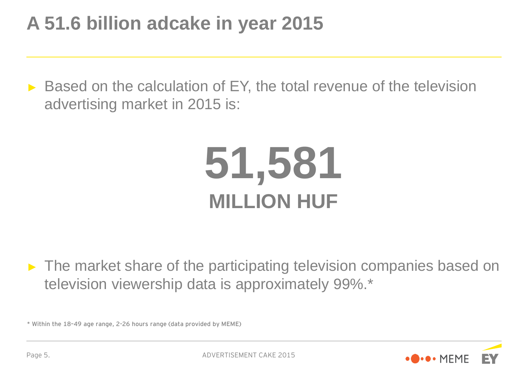## **A 51.6 billion adcake in year 2015**

► Based on the calculation of EY, the total revenue of the television advertising market in 2015 is:

## **51,581 MILLION HUF**

► The market share of the participating television companies based on television viewership data is approximately 99%.\*

\* Within the 18–49 age range, 2-26 hours range (data provided by MEME)

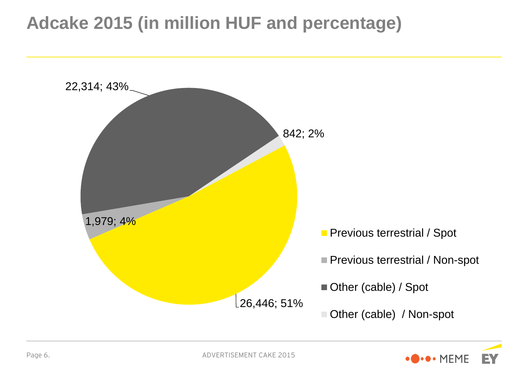## **Adcake 2015 (in million HUF and percentage)**



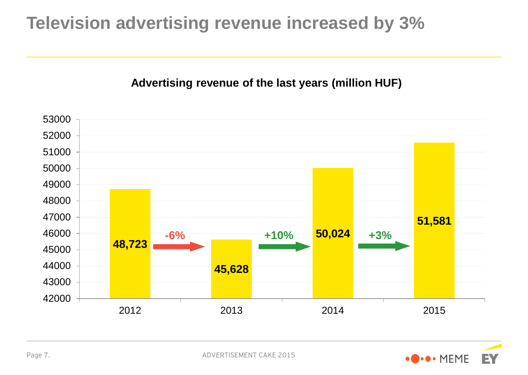## **Television advertising revenue increased by 3%**

#### **Advertising revenue of the last years (million HUF)**



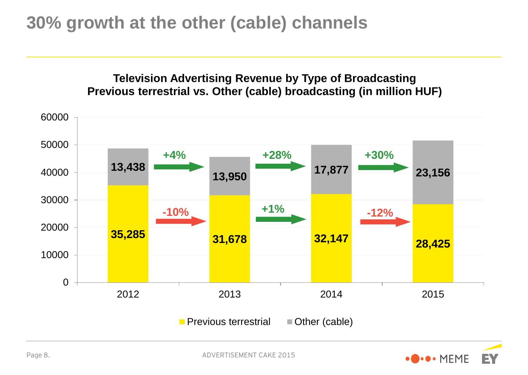## **30% growth at the other (cable) channels**



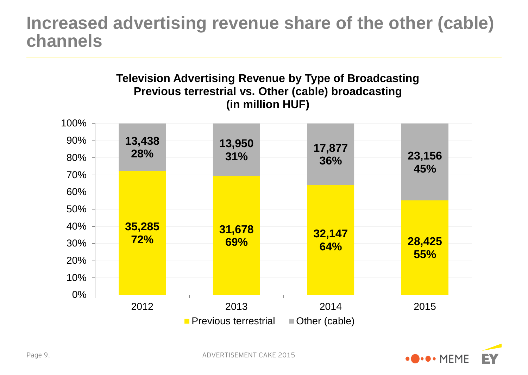## **Increased advertising revenue share of the other (cable) channels**



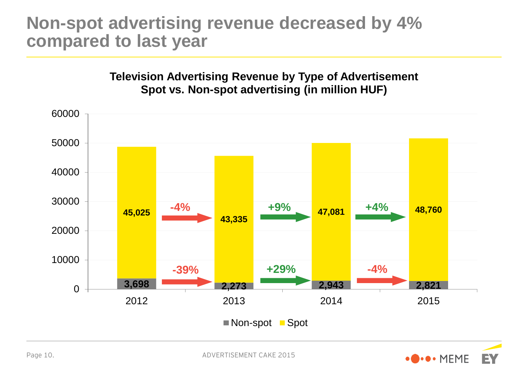## **Non-spot advertising revenue decreased by 4% compared to last year**



**Television Advertising Revenue by Type of Advertisement**

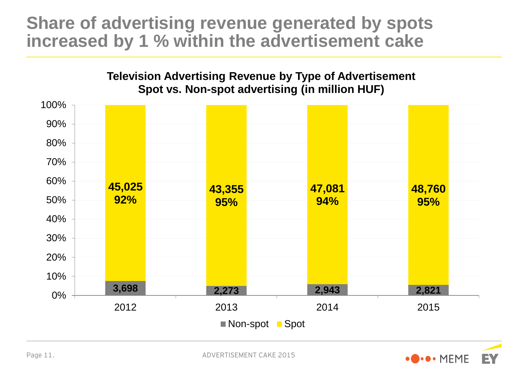## **Share of advertising revenue generated by spots increased by 1 % within the advertisement cake**



Page 11.



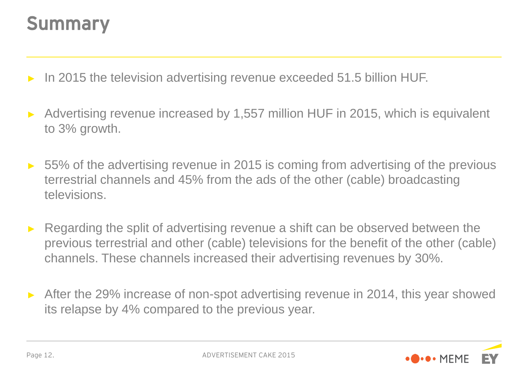## Summary

- In 2015 the television advertising revenue exceeded 51.5 billion HUF.
- Advertising revenue increased by 1,557 million HUF in 2015, which is equivalent to 3% growth.
- 55% of the advertising revenue in 2015 is coming from advertising of the previous terrestrial channels and 45% from the ads of the other (cable) broadcasting televisions.
- Regarding the split of advertising revenue a shift can be observed between the previous terrestrial and other (cable) televisions for the benefit of the other (cable) channels. These channels increased their advertising revenues by 30%.
- After the 29% increase of non-spot advertising revenue in 2014, this year showed its relapse by 4% compared to the previous year.

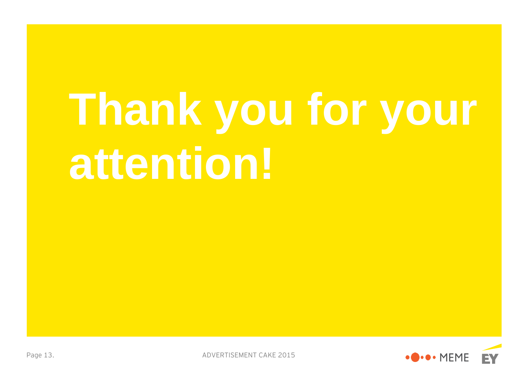# **Thank you for your attention!**